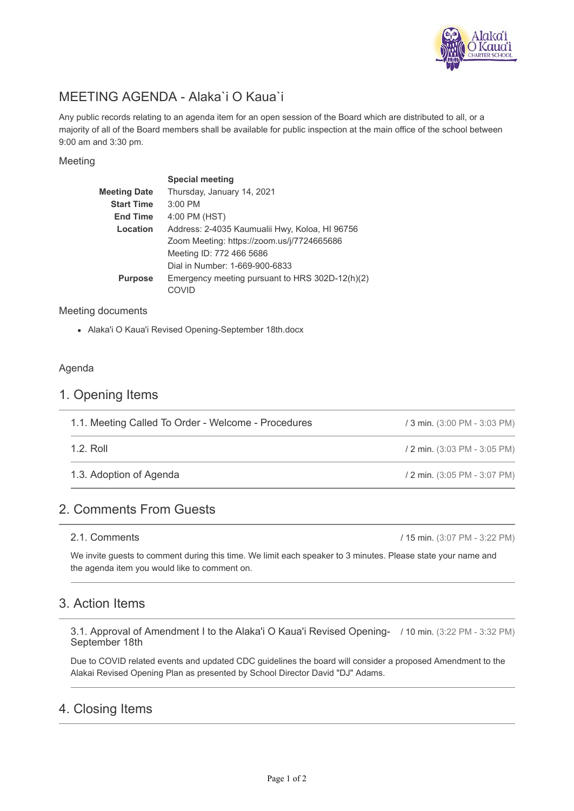

# MEETING AGENDA - Alaka`i O Kaua`i

Any public records relating to an agenda item for an open session of the Board which are distributed to all, or a majority of all of the Board members shall be available for public inspection at the main office of the school between 9:00 am and 3:30 pm.

#### Meeting

|                   | <b>Special meeting</b>                          |
|-------------------|-------------------------------------------------|
| Meeting Date      | Thursday, January 14, 2021                      |
| <b>Start Time</b> | $3:00$ PM                                       |
| <b>End Time</b>   | 4:00 PM (HST)                                   |
| Location          | Address: 2-4035 Kaumualii Hwy, Koloa, HI 96756  |
|                   | Zoom Meeting: https://zoom.us/j/7724665686      |
|                   | Meeting ID: 772 466 5686                        |
|                   | Dial in Number: 1-669-900-6833                  |
| <b>Purpose</b>    | Emergency meeting pursuant to HRS 302D-12(h)(2) |
|                   | COVID                                           |
|                   |                                                 |

#### Meeting documents

Alaka'i O Kaua'i Revised Opening-September 18th.docx

#### Agenda

#### 1. Opening Items

| 1.1. Meeting Called To Order - Welcome - Procedures | / 3 min. (3:00 PM - 3:03 PM) |
|-----------------------------------------------------|------------------------------|
| $1.2.$ Roll                                         | / 2 min. (3:03 PM - 3:05 PM) |
| 1.3. Adoption of Agenda                             | / 2 min. (3:05 PM - 3:07 PM) |

## 2. Comments From Guests

2.1. Comments

/ 15 min. (3:07 PM - 3:22 PM)

We invite guests to comment during this time. We limit each speaker to 3 minutes. Please state your name and the agenda item you would like to comment on.

## 3. Action Items

3.1. Approval of Amendment I to the Alaka'i O Kaua'i Revised Opening- / 10 min. (3:22 PM - 3:32 PM) September 18th

Due to COVID related events and updated CDC guidelines the board will consider a proposed Amendment to the Alakai Revised Opening Plan as presented by School Director David "DJ" Adams.

## 4. Closing Items